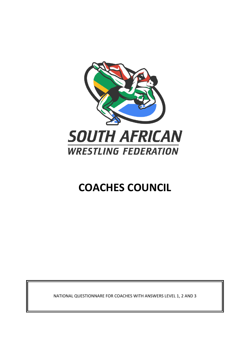

# **COACHES COUNCIL**

NATIONAL QUESTIONNARE FOR COACHES WITH ANSWERS LEVEL 1, 2 AND 3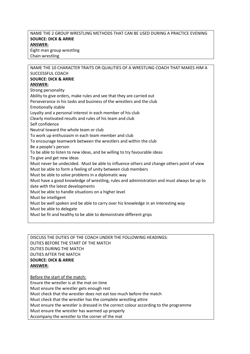# NAME THE 2 GROUP WRESTLING METHODS THAT CAN BE USED DURING A PRACTICE EVENING **SOURCE: DICK & ARRIE ANSWER:** Eight man group wrestling Chain wrestling

| NAME THE 10 CHARACTER TRAITS OR QUALITIES OF A WRESTLING COACH THAT MAKES HIM A            |
|--------------------------------------------------------------------------------------------|
| SUCCESSFUL COACH                                                                           |
| <b>SOURCE: DICK &amp; ARRIE</b>                                                            |
| <b>ANSWER:</b>                                                                             |
| Strong personality                                                                         |
| Ability to give orders, make rules and see that they are carried out                       |
| Perseverance in his tasks and business of the wrestlers and the club                       |
| <b>Emotionally stable</b>                                                                  |
| Loyalty and a personal interest in each member of his club                                 |
| Clearly motivated results and rules of his team and club                                   |
| Self confidence                                                                            |
| Neutral toward the whole team or club                                                      |
| To work up enthusiasm in each team member and club                                         |
| To encourage teamwork between the wrestlers and within the club                            |
| Be a people's person                                                                       |
| To be able to listen to new ideas, and be willing to try favourable ideas                  |
| To give and get new ideas                                                                  |
| Must never be undecided. Must be able to influence others and change others point of view  |
| Must be able to form a feeling of unity between club members                               |
| Must be able to solve problems in a diplomatic way                                         |
| Must have a good knowledge of wrestling, rules and administration and must always be up to |
| date with the latest developments                                                          |
| Must be able to handle situations on a higher level                                        |
| Must be intelligent                                                                        |
| Must be well spoken and be able to carry over his knowledge in an interesting way          |
| Must be able to delegate                                                                   |
| Must be fit and healthy to be able to demonstrate different grips                          |
|                                                                                            |
|                                                                                            |

DISCUSS THE DUTIES OF THE COACH UNDER THE FOLLOWING HEADINGS: DUTIES BEFORE THE START OF THE MATCH DUTIES DURING THE MATCH DUTIES AFTER THE MATCH **SOURCE: DICK & ARRIE ANSWER:**

Before the start of the match: Ensure the wrestler is at the mat on time Must ensure the wrestler gets enough rest Must check that the wrestler does not eat too much before the match Must check that the wrestler has the complete wrestling attire Must ensure the wrestler is dressed in the correct colour according to the programme Must ensure the wrestler has warmed up properly Accompany the wrestler to the corner of the mat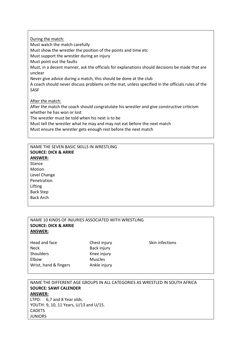During the match:

Must watch the match carefully Must show the wrestler the position of the points and time etc Must support the wrestler during an injury Must point out the faults Must, in a decent manner, ask the officials for explanations should decisions be made that are unclear Never give advice during a match, this should be done at the club A coach should never discuss problems on the mat, unless specified in the officials rules of the SASF After the match: After the match the coach should congratulate his wrestler and give constructive criticism

whether he has won or lost

The wrestler must be told when his next is to be

Must tell the wrestler what he may and may not eat before the next match

Must ensure the wrestler gets enough rest before the next match

NAME THE SEVEN BASIC SKILLS IN WRESTLING **SOURCE: DICK & ARRIE ANSWER:** Stance Motion Level Change Penetration Lifting Back Step Back Arch

Wrist, hand & fingers Ankle injury

| NAME 10 KINDS OF INJURIES ASSOCIATED WITH WRESTLING |                |                 |  |
|-----------------------------------------------------|----------------|-----------------|--|
| <b>SOURCE: DICK &amp; ARRIE</b>                     |                |                 |  |
| <b>ANSWER:</b>                                      |                |                 |  |
|                                                     |                |                 |  |
| Head and face                                       | Chest injury   | Skin infections |  |
| <b>Neck</b>                                         | Back injury    |                 |  |
| <b>Shoulders</b>                                    | Knee injury    |                 |  |
| Elbow                                               | <b>Muscles</b> |                 |  |

NAME THE DIFFERENT AGE GROUPS IN ALL CATEGORIES AS WRESTLED IN SOUTH AFRICA **SOURCE: SAWF CALENDER ANSWER:** LTPD: 6,7 and 8 Year olds. YOUTH: 9, 10, 11 Years, U/13 and U/15. **CADETS** JUNIORS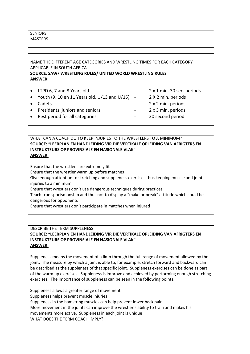# NAME THE DIFFERENT AGE CATEGORIES AND WRESTLING TIMES FOR EACH CATEGORY APPLICABLE IN SOUTH AFRICA **SOURCE: SAWF WRESTLING RULES/ UNITED WORLD WRESTLING RULES ANSWER:**

|           | • LTPD 6, 7 and 8 Years old                                                  | $\sim 100$ | 2 x 1 min. 30 sec. periods |
|-----------|------------------------------------------------------------------------------|------------|----------------------------|
|           | • Youth $(9, 10 \text{ en } 11 \text{ Years old}, U/13 \text{ and } U/15)$ - |            | 2 X 2 min. periods         |
| $\bullet$ | Cadets                                                                       | $\sim 100$ | 2 x 2 min. periods         |
|           | • Presidents, juniors and seniors                                            | $\sim 100$ | 2 x 3 min. periods         |
|           | • Rest period for all categories                                             | $\sim 100$ | 30 second period           |

## WHAT CAN A COACH DO TO KEEP INJURIES TO THE WRESTLERS TO A MINIMUM? **SOURCE: "LEERPLAN EN HANDLEIDING VIR DIE VERTIKALE OPLEIDING VAN AFRIGTERS EN INSTRUKTEURS OP PROVINSIALE EN NASIONALE VLAK" ANSWER:**

Ensure that the wrestlers are extremely fit Ensure that the wrestler warm up before matches Give enough attention to stretching and suppleness exercises thus keeping muscle and joint injuries to a minimum Ensure that wrestlers don't use dangerous techniques during practices Teach true sportsmanship and thus not to display a "make or break" attitude which could be dangerous for opponents Ensure that wrestlers don't participate in matches when injured

# DESCRIBE THE TERM SUPPLENESS **SOURCE: "LEERPLAN EN HANDLEIDING VIR DIE VERTIKALE OPLEIDING VAN AFRIGTERS EN INSTRUKTEURS OP PROVINSIALE EN NASIONALE VLAK" ANSWER:**

Suppleness means the movement of a limb through the full range of movement allowed by the joint. The measure by which a joint is able to, for example, stretch forward and backward can be described as the suppleness of that specific joint. Suppleness exercises can be done as part of the warm up exercises. Suppleness is improve and achieved by performing enough stretching exercises. The importance of suppleness can be seen in the following points:

Suppleness allows a greater range of movement Suppleness helps prevent muscle injuries Suppleness in the hamstring muscles can help prevent lower back pain More movement in the joints can improve the wrestler's ability to train and makes his movements more active. Suppleness in each joint is unique WHAT DOES THE TERM COACH IMPLY?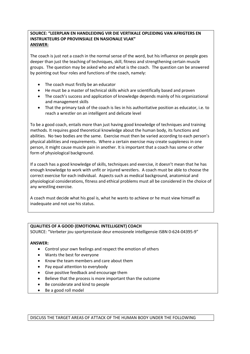## **SOURCE: "LEERPLAN EN HANDLEIDING VIR DIE VERTIKALE OPLEIDING VAN AFRIGTERS EN INSTRUKTEURS OP PROVINSIALE EN NASIONALE VLAK" ANSWER:**

The coach is just not a coach in the normal sense of the word, but his influence on people goes deeper than just the teaching of techniques, skill, fitness and strengthening certain muscle groups. The question may be asked who and what is the coach. The question can be answered by pointing out four roles and functions of the coach, namely:

- The coach must firstly be an educator
- He must be a master of technical skills which are scientifically based and proven
- The coach's success and application of knowledge depends mainly of his organizational and management skills
- That the primary task of the coach is lies in his authoritative position as educator, i.e. to reach a wrestler on an intelligent and delicate level

To be a good coach, entails more than just having good knowledge of techniques and training methods. It requires good theoretical knowledge about the human body, its functions and abilities. No two bodies are the same. Exercise must then be varied according to each person's physical abilities and requirements. Where a certain exercise may create suppleness in one person, it might cause muscle pain in another. It is important that a coach has some or other form of physiological background.

If a coach has a good knowledge of skills, techniques and exercise, it doesn't mean that he has enough knowledge to work with unfit or injured wrestlers. A coach must be able to choose the correct exercise for each individual. Aspects such as medical background, anatomical and physiological considerations, fitness and ethical problems must all be considered in the choice of any wrestling exercise.

A coach must decide what his goal is, what he wants to achieve or he must view himself as inadequate and not use his status.

# **QUALITIES OF A GOOD (EMOTIONAL INTELLIGENT) COACH**

SOURCE: "Verbeter jou sportprestasie deur emosionele intelligensie ISBN 0-624-04395-9"

# **ANSWER:**

- Control your own feelings and respect the emotion of others
- Wants the best for everyone
- Know the team members and care about them
- Pay equal attention to everybody
- Give positive feedback and encourage them
- Believe that the process is more important than the outcome
- Be considerate and kind to people
- Be a good roll model

DISCUSS THE TARGET AREAS OF ATTACK OF THE HUMAN BODY UNDER THE FOLLOWING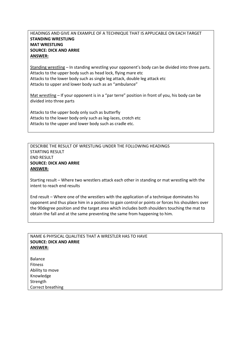# HEADINGS AND GIVE AN EXAMPLE OF A TECHNIQUE THAT IS APPLICABLE ON EACH TARGET **STANDING WRESTLING MAT WRESTLING SOURCE: DICK AND ARRIE ANSWER:**

Standing wrestling – In standing wrestling your opponent's body can be divided into three parts. Attacks to the upper body such as head lock, flying mare etc Attacks to the lower body such as single leg attack, double leg attack etc Attacks to upper and lower body such as an "ambulance"

Mat wrestling – If your opponent is in a "par terre" position in front of you, his body can be divided into three parts

Attacks to the upper body only such as butterfly Attacks to the lower body only such as leg-laces, crotch etc Attacks to the upper and lower body such as cradle etc.

DESCRIBE THE RESULT OF WRESTLING UNDER THE FOLLOWING HEADINGS STARTING RESULT END RESULT **SOURCE: DICK AND ARRIE ANSWER:**

Starting result – Where two wrestlers attack each other in standing or mat wrestling with the intent to reach end results

End result – Where one of the wrestlers with the application of a technique dominates his opponent and thus place him in a position to gain control or points or forces his shoulders over the 90degree position and the target area which includes both shoulders touching the mat to obtain the fall and at the same preventing the same from happening to him.

#### NAME 6 PHYSICAL QUALITIES THAT A WRESTLER HAS TO HAVE **SOURCE: DICK AND ARRIE ANSWER:**

Balance Fitness Ability to move Knowledge Strength Correct breathing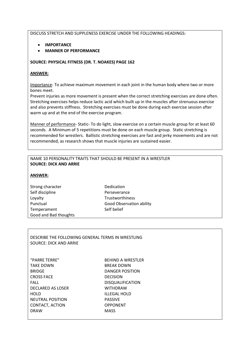## DISCUSS STRETCH AND SUPPLENESS EXERCISE UNDER THE FOLLOWING HEADINGS:

- **IMPORTANCE**
- **MANNER OF PERFORMANCE**

## **SOURCE: PHYSICAL FITNESS (DR. T. NOAKES) PAGE 162**

# **ANSWER:**

Importance- To achieve maximum movement in each joint in the human body where two or more bones meet.

Prevent injuries as more movement is present when the correct stretching exercises are done often. Stretching exercises helps reduce lactic acid which built up in the muscles after strenuous exercise and also prevents stiffness. Stretching exercises must be done during each exercise session after warm up and at the end of the exercise program.

Manner of performance- Static- To do light, slow exercise on a certain muscle group for at least 60 seconds. A Minimum of 5 repetitions must be done on each muscle group. Static stretching is recommended for wrestlers. Ballistic stretching exercises are fast and jerky movements and are not recommended, as research shows that muscle injuries are sustained easier.

## NAME 10 PERSONALITY TRAITS THAT SHOULD BE PRESENT IN A WRESTLER **SOURCE: DICK AND ARRIE**

## **ANSWER:**

| Strong character      |
|-----------------------|
| Self discipline       |
| Loyalty               |
| Punctual              |
| Temperament           |
| Good and Bad thoughts |

**Dedication** Perseverance Trustworthiness **Good Observation ability** Self belief

DESCRIBE THE FOLLOWING GENERAL TERMS IN WRESTLING SOURCE: DICK AND ARRIE

"PARRE TERRE" BEHIND A WRESTLER TAKE DOWN BREAK DOWN BRIDGE DANGER POSITION CROSS FACE DECISION FALL DISQUALIFICATION DECLARED AS LOSER WITHDRAW HOLD **ILLEGAL HOLD** NEUTRAL POSITION PASSIVE CONTACT, ACTION OPPONENT DRAW MASS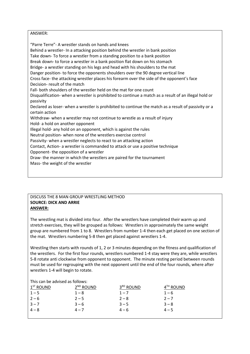## ANSWER:

"Parre Terre"- A wrestler stands on hands and knees Behind a wrestler- In a attacking position behind the wrestler in bank position Take down- To force a wrestler from a standing position to a bank position Break down- to force a wrestler in a bank position flat down on his stomach Bridge- a wrestler standing on his legs and head with his shoulders to the mat Danger position- to force the opponents shoulders over the 90 degree vertical line Cross face- the attacking wrestler places his forearm over the side of the opponent's face Decision- result of the match Fall- both shoulders of the wrestler held on the mat for one count Disqualification- when a wrestler is prohibited to continue a match as a result of an illegal hold or passivity Declared as loser- when a wrestler is prohibited to continue the match as a result of passivity or a certain action Withdraw- when a wrestler may not continue to wrestle as a result of injury Hold- a hold on another opponent Illegal hold- any hold on an opponent, which is against the rules Neutral position- when none of the wrestlers exercise control Passivity- when a wrestler neglects to react to an attacking action Contact, Action- a wrestler is commanded to attack or use a positive technique Opponent- the opposition of a wrestler Draw- the manner in which the wrestlers are paired for the tournament Mass- the weight of the wrestler

#### DISCUSS THE 8 MAN GROUP WRESTLING METHOD **SOURCE: DICK AND ARRIE ANSWER:**

The wrestling mat is divided into four. After the wrestlers have completed their warm up and stretch exercises, they will be grouped as follows: Wrestlers in approximately the same weight group are numbered from 1 to 8. Wrestlers from number 1-4 then each get placed on one section of the mat. Wrestlers numbering 5-8 then get placed against wrestlers 1-4.

Wrestling then starts with rounds of 1, 2 or 3 minutes depending on the fitness and qualification of the wrestlers. For the first four rounds, wrestlers numbered 1-4 stay were they are, while wrestlers 5-8 rotate anti clockwise from opponent to opponent. The minute resting period between rounds must be used for regrouping with the next opponent until the end of the four rounds, where after wrestlers 1-4 will begin to rotate.

| This can be advised as follows:     |                       |           |           |  |
|-------------------------------------|-----------------------|-----------|-----------|--|
| $1ST$ ROUND                         | 2 <sup>ND</sup> ROUND | 3RD ROUND | 4TH ROUND |  |
| $1 - 5$                             | $1 - 8$               | $1 - 7$   | $1 - 6$   |  |
| $2 - 6$                             | $2 - 5$               | $2 - 8$   | $2 - 7$   |  |
| $3 - 7$                             | $3 - 6$               | $3 - 5$   | $3 - 8$   |  |
| $\begin{bmatrix} 4-8 \end{bmatrix}$ | $4 - 7$               | $4 - 6$   | $4 - 5$   |  |
|                                     |                       |           |           |  |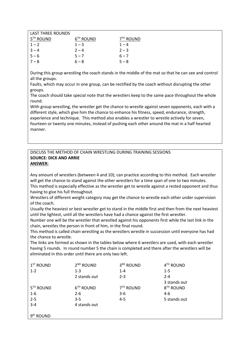| LAST THRFF ROUNDS     |                       |                      |
|-----------------------|-----------------------|----------------------|
| 5 <sup>TH</sup> ROUND | 6 <sup>TH</sup> ROUND | 7 <sup>™</sup> ROUND |
| $1 - 2$               | $1 - 3$               | $1 - 4$              |
| $3 - 4$               | $2 - 4$               | $2 - 3$              |
| $5 - 6$               | $5 - 7$               | $6 - 7$              |
| $7 - 8$               | $6 - 8$               | $5 - 8$              |

During this group wrestling the coach stands in the middle of the mat so that he can see and control all the groups.

Faults, which may occur in one group, can be rectified by the coach without disrupting the other groups.

The coach should take special note that the wrestlers keep to the same pace throughout the whole round.

With group wrestling, the wrestler get the chance to wrestle against seven opponents, each with a different style, which give him the chance to enhance his fitness, speed, endurance, strength, experience and technique. This method also enables a wrestler to wrestle actively for seven, fourteen or twenty one minutes, instead of pushing each other around the mat in a half hearted manner.

## DISCUSS THE METHOD OF CHAIN WRESTLING DURING TRAINING SESSIONS **SOURCE: DICK AND ARRIE ANSWER:**

Any amount of wrestlers (between 4 and 10); can practice according to this method. Each wrestler will get the chance to stand against the other wrestlers for a time span of one to two minutes.

This method is especially effective as the wrestler get to wrestle against a rested opponent and thus having to give his full throughout.

Wrestlers of different weight category may get the chance to wrestle each other under supervision of the coach.

Usually the heaviest or best wrestler get to stand in the middle first and then from the next heaviest until the lightest, until all the wrestlers have had a chance against the first wrestler.

Number one will be the wrestler that wrestled against his opponents first while the last link in the chain, wrestles the person in front of him, in the final round.

This method is called chain wrestling as the wrestlers wrestle in succession until everyone has had the chance to wrestle.

The links are formed as shown in the tables below where 6 wrestlers are used, with each wrestler having 5 rounds. In round number 5 the chain is completed and there after the wrestlers will be eliminated in this order until there are only two left.

| $1ST$ ROUND           | 2 <sup>ND</sup> ROUND | 3RD ROUND             | 4TH ROUND             |
|-----------------------|-----------------------|-----------------------|-----------------------|
| $1 - 2$               | $1 - 3$               | $1 - 4$               | $1 - 5$               |
|                       | 2 stands out          | $2 - 3$               | $2 - 4$               |
|                       |                       |                       | 3 stands out          |
| 5 <sup>TH</sup> ROUND | 6 <sup>TH</sup> ROUND | 7 <sup>TH</sup> ROUND | 8 <sup>TH</sup> ROUND |
| $1 - 6$               | $2 - 6$               | $3-6$                 | $4-6$                 |
| $2 - 5$               | $3 - 5$               | $4 - 5$               | 5 stands out          |
| $3 - 4$               | 4 stands out          |                       |                       |
|                       |                       |                       |                       |
| 9 <sup>th</sup> ROUND |                       |                       |                       |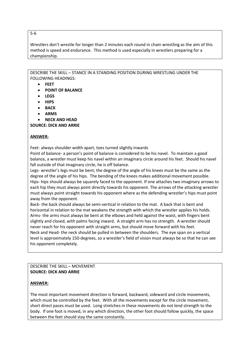#### 5-6

Wrestlers don't wrestle for longer than 2 minutes each round in chain wrestling as the aim of this method is speed and endurance. This method is used especially in wrestlers preparing for a championship.

DESCRIBE THE SKILL – STANCE IN A STANDING POSITION DURING WRESTLING UNDER THE FOLLOWING HEADINGS:

- **FEET**
- **POINT OF BALANCE**
- **LEGS**
- **HIPS**
- **BACK**
- **ARMS**
- **NECK AND HEAD**

**SOURCE: DICK AND ARRIE**

## **ANSWER:**

Feet- always shoulder width apart, toes turned slightly inwards

Point of balance- a person's point of balance is considered to be his navel. To maintain a good balance, a wrestler must keep his navel within an imaginary circle around his feet. Should his navel fall outside of that imaginary circle, he is off balance.

Legs- wrestler's legs must be bent; the degree of the angle of his knees must be the same as the degree of the angle of his hips. The bending of the knees makes additional movement possible. Hips- hips should always be squarely faced to the opponent. If one attaches two imaginary arrows to each hip they must always point directly towards his opponent. The arrows of the attacking wrestler must always point straight towards his opponent where as the defending wrestler's hips must point away from the opponent.

Back- the back should always be semi-vertical in relation to the mat. A back that is bent and horizontal in relation to the mat weakens the strength with which the wrestler applies his holds. Arms- the arms must always be bent at the elbows and held against the waist, with fingers bent slightly and closed, with palms facing inward. A straight arm has no strength. A wrestler should never reach for his opponent with straight arms, but should move forward with his feet. Neck and Head- the neck should be pulled in between the shoulders. The eye span on a vertical level is approximately 150-degrees, so a wrestler's field of vision must always be so that he can see his opponent completely.

DESCRIBE THE SKILL – MOVEMENT **SOURCE: DICK AND ARRIE** 

# **ANSWER:**

The most important movement direction is forward, backward, sideward and circle movements, which must be controlled by the feet. With all the movements except for the circle movement, short direct paces must be used. Long stretches in these movements do not lend strength to the body. If one foot is moved, in any which direction, the other foot should follow quickly, the space between the feet should stay the same constantly.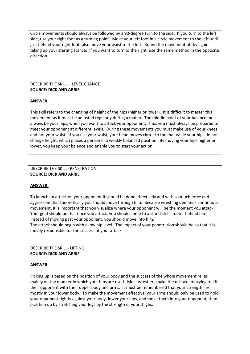Circle movements should always be followed by a 90-degree turn to the side. If you turn to the left side, use your right foot as a turning point. Move your left foot in a circle movement to the left until just behind your right foot; also move your waist to the left. Round the movement off by again taking up your starting stance. If you want to turn to the right, use the same method in the opposite direction.

#### DESCRIBE THE SKILL – LEVEL CHANGE **SOURCE: DICK AND ARRIE**

# **ANSWER:**

This skill refers to the changing of height of the hips (higher or lower). It is difficult to master this movement, as it must be adjusted regularly during a match. The middle point of your balance must always be your hips, when you want to attack your opponent. Thus you must always be prepared to meet your opponent at different levels. During these movements you must make use of your knees and not your waist. If you use your waist, your head moves closer to the mat while your hips do not change height, which places a person in a weakly balanced position. By moving your hips higher or lower, you keep your balance and enable you to start your action.

#### DESCRIBE THE SKILL- PENETRATION **SOURCE: DICK AND ARRIE**

#### **ANSWER:**

To launch an attack on your opponent it should be done effectively and with so much force and aggression that theoretically you should move through him. Because wrestling demands continuous movement, it is important that you visualize where your opponent will be the moment you attack. Your goal should be that once you attack, you should come to a stand still a meter behind him. Instead of moving past your opponent, you should move into him.

The attack should begin with a low hip level. The impact of your penetration should be so that it is mostly responsible for the success of your attack.

## DESCRIBE THE SKILL- LIFTING **SOURCE: DICK AND ARRIE**

#### **ANSWER:**

Picking up is based on the position of your body and the success of the whole movement relies mainly on the manner in which your hips are used. Most wrestlers make the mistake of trying to lift their opponent with their upper body and arms. It must be remembered that your strength lies mostly in your lower body. To make the movement effective, your arms should only be used to hold your opponent tightly against your body, lower your hips, and move them into your opponent, then pick him up by stretching your legs by the strength of your thighs.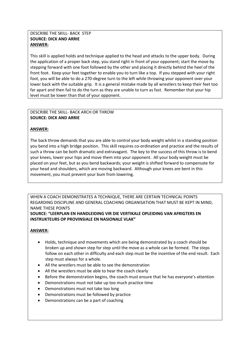## DESCRIBE THE SKILL- BACK STEP **SOURCE: DICK AND ARRIE ANSWER:**

This skill is applied holds and technique applied to the head and attacks to the upper body. During the application of a proper back step, you stand right in front of your opponent; start the move by stepping forward with one foot followed by the other and placing it directly behind the heel of the front foot. Keep your feet together to enable you to turn like a top. If you stepped with your right foot, you will be able to do a 270-degree turn to the left while throwing your opponent over your lower back with the suitable grip. It is a general mistake made by all wrestlers to keep their feet too far apart and then fail to do the turn as they are unable to turn as fast. Remember that your hip level must be lower than that of your opponent.

## DESCRIBE THE SKILL- BACK ARCH OR THROW **SOURCE: DICK AND ARRIE**

# **ANSWER:**

The back throw demands that you are able to control your body weight whilst in a standing position you bend into a high bridge position. This skill requires co-ordination and practice and the results of such a throw can be both dramatic and extravagant. The key to the success of this throw is to bend your knees, lower your hips and move them into your opponent. All your body weight must be placed on your feet, but as you bend backwards; your weight is shifted forward to compensate for your head and shoulders, which are moving backward. Although your knees are bent in this movement, you must prevent your bum from lowering.

WHEN A COACH DEMONSTRATES A TECHNIQUE, THERE ARE CERTAIN TECHNICAL POINTS REGARDING DISCIPLINE AND GENERAL COACHING ORGANISATION THAT MUST BE KEPT IN MIND, NAME THESE POINTS

**SOURCE: "LEERPLAN EN HANDLEIDING VIR DIE VERTIKALE OPLEIDING VAN AFRIGTERS EN INSTRUKTEURS OP PROVINSIALE EN NASIONALE VLAK"** 

# **ANSWER:**

- Holds, technique and movements which are being demonstrated by a coach should be broken up and shown step for step until the move as a whole can be formed. The steps follow on each other in difficulty and each step must be the incentive of the end result. Each step must always for a whole.
- All the wrestlers must be able to see the demonstration
- All the wrestlers must be able to hear the coach clearly
- Before the demonstration begins, the coach must ensure that he has everyone's attention
- Demonstrations must not take up too much practice time
- Demonstrations must not take too long
- Demonstrations must be followed by practice
- Demonstrations can be a part of coaching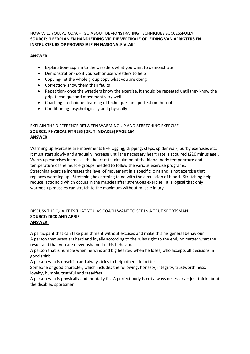## HOW WILL YOU, AS COACH, GO ABOUT DEMONSTRATING TECHNIQUES SUCCESSFULLY **SOURCE: "LEERPLAN EN HANDLEIDING VIR DIE VERTIKALE OPLEIDING VAN AFRIGTERS EN INSTRUKTEURS OP PROVINSIALE EN NASIONALE VLAK"**

# **ANSWER:**

- Explanation- Explain to the wrestlers what you want to demonstrate
- Demonstration- do it yourself or use wrestlers to help
- Copying- let the whole group copy what you are doing
- Correction- show them their faults
- Repetition- once the wrestlers know the exercise, it should be repeated until they know the grip, technique and movement very well
- Coaching- Technique- learning of techniques and perfection thereof
- Conditioning- psychologically and physically

## EXPLAIN THE DIFFERENCE BETWEEN WARMING UP AND STRETCHING EXERCISE **SOURCE: PHYSICAL FITNESS (DR. T. NOAKES) PAGE 164 ANSWER:**

Warming up exercises are movements like jogging, skipping, steps, spider walk, burby exercises etc. It must start slowly and gradually increase until the necessary heart rate is acquired (220 minus age). Warm up exercises increases the heart rate, circulation of the blood, body temperature and temperature of the muscle groups needed to follow the various exercise programs. Stretching exercise increases the level of movement in a specific joint and is not exercise that replaces warming up. Stretching has nothing to do with the circulation of blood. Stretching helps reduce lactic acid which occurs in the muscles after strenuous exercise. It is logical that only warmed up muscles can stretch to the maximum without muscle injury.

# DISCUSS THE QUALITIES THAT YOU AS COACH WANT TO SEE IN A TRUE SPORTSMAN **SOURCE: DICK AND ARRIE ANSWER:**

A participant that can take punishment without excuses and make this his general behaviour A person that wrestlers hard and loyally according to the rules right to the end, no matter what the result and that you are never ashamed of his behaviour

A person that is humble when he wins and big hearted when he loses, who accepts all decisions in good spirit

A person who is unselfish and always tries to help others do better

Someone of good character, which includes the following: honesty, integrity, trustworthiness, loyalty, humble, truthful and steadfast

A person who is physically and mentally fit. A perfect body is not always necessary – just think about the disabled sportsmen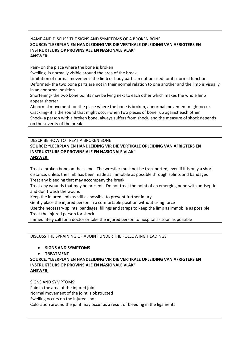# NAME AND DISCUSS THE SIGNS AND SYMPTOMS OF A BROKEN BONE **SOURCE: "LEERPLAN EN HANDLEIDING VIR DIE VERTIKALE OPLEIDING VAN AFRIGTERS EN INSTRUKTEURS OP PROVINSIALE EN NASIONALE VLAK" ANSWER:**

Pain- on the place where the bone is broken

Swelling- is normally visible around the area of the break

Limitation of normal movement- the limb or body part can not be used for its normal function Deformed- the two bone parts are not in their normal relation to one another and the limb is visually in an abnormal position

Shortening- the two bone points may be lying next to each other which makes the whole limb appear shorter

Abnormal movement- on the place where the bone is broken, abnormal movement might occur Crackling- it is the sound that might occur when two pieces of bone rub against each other Shock- a person with a broken bone, always suffers from shock, and the measure of shock depends on the severity of the break

# DESCRIBE HOW TO TREAT A BROKEN BONE **SOURCE: "LEERPLAN EN HANDLEIDING VIR DIE VERTIKALE OPLEIDING VAN AFRIGTERS EN INSTRUKTEURS OP PROVINSIALE EN NASIONALE VLAK" ANSWER:**

Treat a broken bone on the scene. The wrestler must not be transported, even if it is only a short distance, unless the limb has been made as immobile as possible through splints and bandages Treat any bleeding that may accompany the break

Treat any wounds that may be present. Do not treat the point of an emerging bone with antiseptic and don't wash the wound

Keep the injured limb as still as possible to prevent further injury

Gently place the injured person in a comfortable position without using force

Use the necessary splints, bandages, fillings and straps to keep the limp as immobile as possible Treat the injured person for shock

Immediately call for a doctor or take the injured person to hospital as soon as possible

DISCUSS THE SPRAINING OF A JOINT UNDER THE FOLLOWING HEADINGS

# • **SIGNS AND SYMPTOMS**

• **TREATMENT**

**SOURCE: "LEERPLAN EN HANDLEIDING VIR DIE VERTIKALE OPLEIDING VAN AFRIGTERS EN INSTRUKTEURS OP PROVINSIALE EN NASIONALE VLAK" ANSWER;**

SIGNS AND SYMPTOMS: Pain in the area of the injured joint Normal movement of the joint is obstructed Swelling occurs on the injured spot Coloration around the joint may occur as a result of bleeding in the ligaments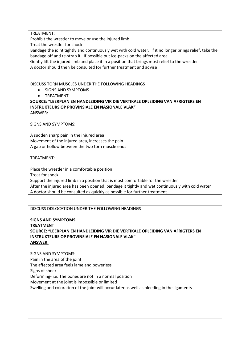TREATMENT:

Prohibit the wrestler to move or use the injured limb

Treat the wrestler for shock

Bandage the joint tightly and continuously wet with cold water. If it no longer brings relief, take the bandage off and re-strap it. If possible put ice-packs on the affected area

Gently lift the injured limb and place it in a position that brings most relief to the wrestler

A doctor should then be consulted for further treatment and advise

## DISCUSS TORN MUSCLES UNDER THE FOLLOWING HEADINGS

• SIGNS AND SYMPTOMS

• TREATMENT

#### **SOURCE: "LEERPLAN EN HANDLEIDING VIR DIE VERTIKALE OPLEIDING VAN AFRIGTERS EN INSTRUKTEURS OP PROVINSIALE EN NASIONALE VLAK"** ANSWER:

SIGNS AND SYMPTOMS:

A sudden sharp pain in the injured area Movement of the injured area, increases the pain A gap or hollow between the two torn muscle ends

TREATMENT:

Place the wrestler in a comfortable position Treat for shock Support the injured limb in a position that is most comfortable for the wrestler After the injured area has been opened, bandage it tightly and wet continuously with cold water A doctor should be consulted as quickly as possible for further treatment

# DISCUSS DISLOCATION UNDER THE FOLLOWING HEADINGS

**SIGNS AND SYMPTOMS TREATMENT SOURCE: "LEERPLAN EN HANDLEIDING VIR DIE VERTIKALE OPLEIDING VAN AFRIGTERS EN INSTRUKTEURS OP PROVINSIALE EN NASIONALE VLAK" ANSWER:**

SIGNS AND SYMPTOMS: Pain in the area of the joint The affected area feels lame and powerless Signs of shock Deforming- i.e. The bones are not in a normal position Movement at the joint is impossible or limited Swelling and coloration of the joint will occur later as well as bleeding in the ligaments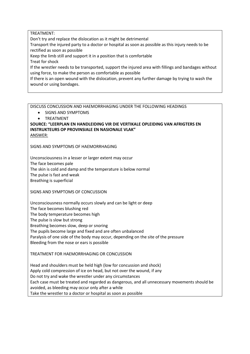## TREATMENT:

Don't try and replace the dislocation as it might be detrimental

Transport the injured party to a doctor or hospital as soon as possible as this injury needs to be rectified as soon as possible

Keep the limb still and support it in a position that is comfortable

Treat for shock

If the wrestler needs to be transported, support the injured area with fillings and bandages without using force, to make the person as comfortable as possible

If there is an open wound with the dislocation, prevent any further damage by trying to wash the wound or using bandages.

DISCUSS CONCUSSION AND HAEMORRHAGING UNDER THE FOLLOWING HEADINGS

- SIGNS AND SYMPTOMS
- **TREATMENT**

**SOURCE: "LEERPLAN EN HANDLEIDING VIR DIE VERTIKALE OPLEIDING VAN AFRIGTERS EN INSTRUKTEURS OP PROVINSIALE EN NASIONALE VLAK"** ANSWER:

SIGNS AND SYMPTOMS OF HAEMORRHAGING

Unconsciousness in a lesser or larger extent may occur The face becomes pale The skin is cold and damp and the temperature is below normal The pulse is fast and weak Breathing is superficial

SIGNS AND SYMPTOMS OF CONCUSSION

Unconsciousness normally occurs slowly and can be light or deep

The face becomes blushing red

The body temperature becomes high

The pulse is slow but strong

Breathing becomes slow, deep or snoring

The pupils become large and fixed and are often unbalanced

Paralysis of one side of the body may occur, depending on the site of the pressure Bleeding from the nose or ears is possible

# TREATMENT FOR HAEMORRHAGING OR CONCUSSION

Head and shoulders must be held high (low for concussion and shock) Apply cold compression of ice on head, but not over the wound, if any Do not try and wake the wrestler under any circumstances Each case must be treated and regarded as dangerous, and all unnecessary movements should be avoided, as bleeding may occur only after a while Take the wrestler to a doctor or hospital as soon as possible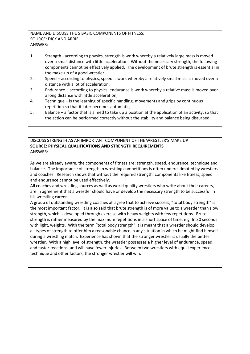# NAME AND DISCUSS THE 5 BASIC COMPONENTS OF FITNESS: SOURCE: DICK AND ARRIE ANSWER:

- 1. Strength according to physics, strength is work whereby a relatively large mass is moved over a small distance with little acceleration. Without the necessary strength, the following components cannot be effectively applied. The development of brute strength is essential in the make-up of a good wrestler
- 2. Speed according to physics, speed is work whereby a relatively small mass is moved over a distance with a lot of acceleration;
- 3. Endurance according to physics, endurance is work whereby a relative mass is moved over a long distance with little acceleration;
- 4. Technique is the learning of specific handling, movements and grips by continuous repetition so that it later becomes automatic;
- 5. Balance a factor that is aimed to take up a position at the application of an activity, so that the action can be performed correctly without the stability and balance being disturbed.

## DISCUSS STRENGTH AS AN IMPORTANT COMPONENT OF THE WRESTLER'S MAKE UP **SOURCE: PHYSICAL QUALIFICATIONS AND STRENGTH REQUIREMENTS** ANSWER:

As we are already aware, the components of fitness are: strength, speed, endurance, technique and balance. The importance of strength in wrestling competitions is often underestimated by wrestlers and coaches. Research shows that without the required strength, components like fitness, speed and endurance cannot be used effectively.

All coaches and wrestling sources as well as world quality wrestlers who write about their careers, are in agreement that a wrestler should have or develop the necessary strength to be successful in his wrestling career.

A group of outstanding wrestling coaches all agree that to achieve success, "total body strength" is the most important factor. It is also said that brute strength is of more value to a wrestler than slow strength, which is developed through exercise with heavy weights with few repetitions. Brute strength is rather measured by the maximum repetitions in a short space of time, e.g. In 30 seconds with light, weights. With the term "total body strength" it is meant that a wrestler should develop all types of strength to offer him a reasonable chance in any situation in which he might find himself during a wrestling match. Experience has shown that the stronger wrestler is usually the better wrestler. With a high level of strength, the wrestler possesses a higher level of endurance, speed, and faster reactions, and will have fewer injuries. Between two wrestlers with equal experience, technique and other factors, the stronger wrestler will win.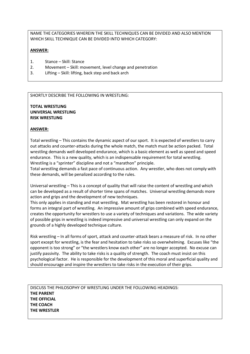NAME THE CATEGORIES WHEREIN THE SKILL TECHNIQUES CAN BE DIVIDED AND ALSO MENTION WHICH SKILL TECHNIQUE CAN BE DIVIDED INTO WHICH CATEGORY:

#### **ANSWER:**

- 1. Stance Skill: Stance
- 2. Movement Skill: movement, level change and penetration
- 3. Lifting Skill: lifting, back step and back arch

#### SHORTLY DESCRIBE THE FOLLOWING IN WRESTLING:

**TOTAL WRESTLING UNIVERSAL WRESTLING RISK WRESTLING**

## **ANSWER:**

Total wrestling – This contains the dynamic aspect of our sport. It is expected of wrestlers to carry out attacks and counter-attacks during the whole match, the match must be action packed. Total wrestling demands well developed endurance, which is a basic element as well as speed and speed endurance. This is a new quality, which is an indispensable requirement for total wrestling. Wrestling is a "sprinter" discipline and not a "marathon" principle.

Total wrestling demands a fast pace of continuous action. Any wrestler, who does not comply with these demands, will be penalized according to the rules.

Universal wrestling – This is a concept of quality that will raise the content of wrestling and which can be developed as a result of shorter time spans of matches. Universal wrestling demands more action and grips and the development of new techniques.

This only applies in standing and mat wrestling. Mat wrestling has been restored in honour and forms an integral part of wrestling. An impressive amount of grips combined with speed endurance, creates the opportunity for wrestlers to use a variety of techniques and variations. The wide variety of possible grips in wrestling is indeed impressive and universal wrestling can only expand on the grounds of a highly developed technique culture.

Risk wrestling – In all forms of sport, attack and counter-attack bears a measure of risk. In no other sport except for wrestling, is the fear and hesitation to take risks so overwhelming. Excuses like "the opponent is too strong" or "the wrestlers know each other" are no longer accepted. No excuse can justify passivity. The ability to take risks is a quality of strength. The coach must insist on this psychological factor. He is responsible for the development of this moral and superficial quality and should encourage and inspire the wrestlers to take risks in the execution of their grips.

DISCUSS THE PHILOSOPHY OF WRESTLING UNDER THE FOLLOWING HEADINGS: **THE PARENT THE OFFICIAL THE COACH THE WRESTLER**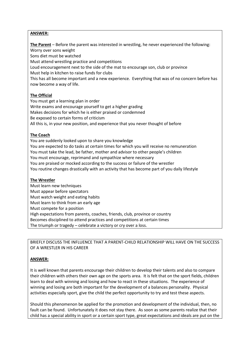## **ANSWER:**

**The Parent** – Before the parent was interested in wrestling, he never experienced the following: Worry over sons weight

Sons diet must be watched

Must attend wrestling practice and competitions

Loud encouragement next to the side of the mat to encourage son, club or province

Must help in kitchen to raise funds for clubs

This has all become important and a new experience. Everything that was of no concern before has now become a way of life.

## **The Official**

You must get a learning plan in order Write exams and encourage yourself to get a higher grading Makes decisions for which he is either praised or condemned Be exposed to certain forms of criticism All this is, in your new position, and experience that you never thought of before

## **The Coach**

You are suddenly looked upon to share you knowledge You are expected to do tasks at certain times for which you will receive no remuneration You must take the lead, be father, mother and advisor to other people's children You must encourage, reprimand and sympathize where necessary You are praised or mocked according to the success or failure of the wrestler You routine changes drastically with an activity that has become part of you daily lifestyle

# **The Wrestler**

Must learn new techniques Must appear before spectators Must watch weight and eating habits Must learn to think from an early age Must compete for a position High expectations from parents, coaches, friends, club, province or country Becomes disciplined to attend practices and competitions at certain times The triumph or tragedy – celebrate a victory or cry over a loss.

BRIEFLY DISCUSS THE INFLUENCE THAT A PARENT-CHILD RELATIONSHIP WILL HAVE ON THE SUCCESS OF A WRESTLER IN HIS CAREER

# **ANSWER:**

It is well known that parents encourage their children to develop their talents and also to compare their children with others their own age on the sports area. It is felt that on the sport fields, children learn to deal with winning and losing and how to react in these situations. The experience of winning and losing are both important for the development of a balances personality. Physical activities especially sport, give the child the perfect opportunity to try and test these aspects.

Should this phenomenon be applied for the promotion and development of the individual, then, no fault can be found. Unfortunately it does not stay there. As soon as some parents realize that their child has a special ability in sport or a certain sport type, great expectations and ideals are put on the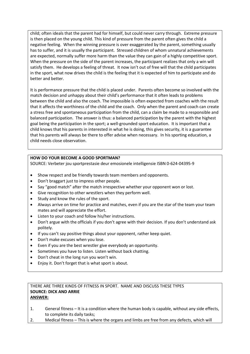child; often ideals that the parent had for himself, but could never carry through. Extreme pressure is then placed on the young child. This kind of pressure from the parent often gives the child a negative feeling. When the winning pressure is over exaggerated by the parent, something usually has to suffer, and it is usually the participant. Stressed children of whom unnatural achievements are expected, normally suffer more harm than the value they can gain of a highly competitive sport. When the pressure on the side of the parent increases, the participant realizes that only a win will satisfy them. He develops a feeling of threat. It now isn't out of free will that the child participates in the sport, what now drives the child is the feeling that it is expected of him to participate and do better and better.

It is performance pressure that the child is placed under. Parents often become so involved with the match decision and unhappy about their child's performance that it often leads to problems between the child and also the coach. The impossible is often expected from coaches with the result that it affects the worthiness of the child and the coach. Only when the parent and coach can create a stress free and spontaneous participation from the child, can a claim be made to a responsible and balanced participation. The answer is thus: a balanced participation by the parent with the highest goal being the participation in the sport; a well-grounded sport education. It is important that a child knows that his parents in interested in what he is doing, this gives security, it is a guarantee that his parents will always be there to offer advise when necessary. In his sporting education, a child needs close observation.

# **HOW DO YOUR BECOME A GOOD SPORTMAN?**

SOURCE: Verbeter jou sportprestasie deur emosionele intelligensie ISBN 0-624-04395-9

- Show respect and be friendly towards team members and opponents.
- Don't braggart just to impress other people.
- Say "good match" after the match irrespective whether your opponent won or lost.
- Give recognition to other wrestlers when they perform well.
- Study and know the rules of the sport.
- Always arrive on time for practice and matches, even if you are the star of the team your team mates and will appreciate the effort.
- Listen to your coach and follow his/her instructions.
- Don't argue with the officials if you don't agree with their decision. If you don't understand ask politely.
- If you can't say positive things about your opponent, rather keep quiet.
- Don't make excuses when you lose.
- Even if you are the best wrestler give everybody an opportunity.
- Sometimes you have to listen. Listen without back chatting.
- Don't cheat in the long run you won't win.
- Enjoy it. Don't forget that is what sport is about.

## THERE ARE THREE KINDS OF FITNESS IN SPORT. NAME AND DISCUSS THESE TYPES **SOURCE: DICK AND ARRIE ANSWER:**

- 1. General fitness It is a condition where the human body is capable, without any side effects, to complete its daily tasks;
- 2. Medical fitness This is where the organs and limbs are free from any defects, which will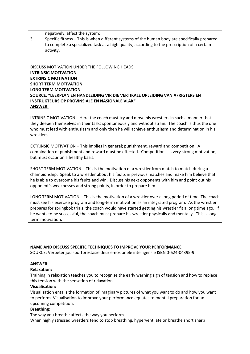negatively, affect the system;

3. Specific fitness – This is when different systems of the human body are specifically prepared to complete a specialized task at a high quality, according to the prescription of a certain activity.

# DISCUSS MOTIVATION UNDER THE FOLLOWING HEADS: **INTRINSIC MOTIVATION EXTRINSIC MOTIVATION SHORT TERM MOTIVATION LONG TERM MOTIVATION SOURCE: "LEERPLAN EN HANDLEIDING VIR DIE VERTIKALE OPLEIDING VAN AFRIGTERS EN INSTRUKTEURS OP PROVINSIALE EN NASIONALE VLAK" ANSWER:**

INTRINSIC MOTIVATION – Here the coach must try and move his wrestlers in such a manner that they deepen themselves in their tasks spontaneously and without strain. The coach is thus the one who must lead with enthusiasm and only then he will achieve enthusiasm and determination in his wrestlers.

EXTRINSIC MOTIVATION – This implies in general; punishment, reward and competition. A combination of punishment and reward must be effected. Competition is a very strong motivation, but must occur on a healthy basis.

SHORT TERM MOTIVATION – This is the motivation of a wrestler from match to match during a championship. Speak to a wrestler about his faults in previous matches and make him believe that he is able to overcome his faults and win. Discuss his next opponents with him and point out his opponent's weaknesses and strong points, in order to prepare him.

LONG TERM MOTIVATION – This is the motivation of a wrestler over a long period of time. The coach must see his exercise program and long-term motivation as an integrated program. As the wrestler prepares for springbok trials, the coach would have started getting his wrestler fit a long time ago. If he wants to be successful, the coach must prepare his wrestler physically and mentally. This is longterm motivation.

**NAME AND DISCUSS SPECIFIC TECHNIQUES TO IMPROVE YOUR PERFORMANCE** SOURCE: Verbeter jou sportprestasie deur emosionele intelligensie ISBN 0-624-04395-9

# **ANSWER:**

#### **Relaxation:**

Training in relaxation teaches you to recognise the early warning sign of tension and how to replace this tension with the sensation of relaxation.

#### **Visualisation:**

Visualisation entails the formation of imaginary pictures of what you want to do and how you want to perform. Visualisation to improve your performance equates to mental preparation for an upcoming competition.

#### **Breathing:**

The way you breathe affects the way you perform. When highly stressed wrestlers tend to stop breathing, hyperventilate or breathe short sharp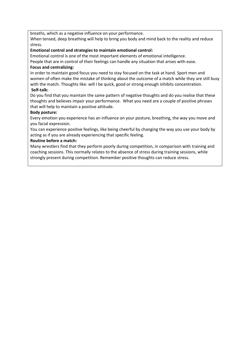breaths, which as a negative influence on your performance.

When tensed, deep breathing will help to bring you body and mind back to the reality and reduce stress.

## **Emotional control and strategies to maintain emotional control:**

Emotional control is one of the most important elements of emotional intelligence.

People that are in control of their feelings can handle any situation that arises with ease.

## **Focus and centralizing:**

In order to maintain good focus you need to stay focused on the task at hand. Sport men and women of often make the mistake of thinking about the outcome of a match while they are still busy with the match. Thoughts like: will I be quick, good or strong enough inhibits concentration. **Self-talk:**

Do you find that you maintain the same pattern of negative thoughts and do you realise that these thoughts and believes impair your performance. What you need are a couple of positive phrases that will help to maintain a positive attitude.

## **Body posture:**

Every emotion you experience has an influence on your posture, breathing, the way you move and you facial expression.

You can experience positive feelings, like being cheerful by changing the way you use your body by acting as if you are already experiencing that specific feeling.

## **Routine before a match:**

Many wrestlers find that they perform poorly during competition, in comparison with training and coaching sessions. This normally relates to the absence of stress during training sessions, while strongly present during competition. Remember positive thoughts can reduce stress.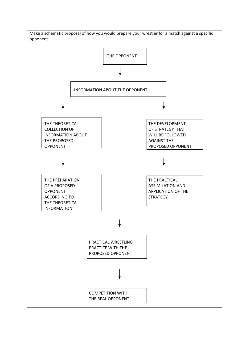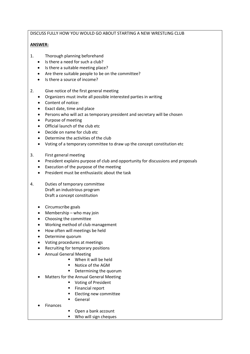# DISCUSS FULLY HOW YOU WOULD GO ABOUT STARTING A NEW WRESTLING CLUB

# **ANSWER:**

- 1. Thorough planning beforehand
	- Is there a need for such a club?
	- Is there a suitable meeting place?
	- Are there suitable people to be on the committee?
	- Is there a source of income?
- 2. Give notice of the first general meeting
	- Organizers must invite all possible interested parties in writing
	- Content of notice:
	- Exact date, time and place
	- Persons who will act as temporary president and secretary will be chosen
	- Purpose of meeting
	- Official launch of the club etc
	- Decide on name for club etc
	- Determine the activities of the club
	- Voting of a temporary committee to draw up the concept constitution etc
- 3. First general meeting
	- President explains purpose of club and opportunity for discussions and proposals
	- Execution of the purpose of the meeting
	- President must be enthusiastic about the task
- 4. Duties of temporary committee Draft an industrious program Draft a concept constitution
	- Circumscribe goals
	- Membership who may join
	- Choosing the committee
	- Working method of club management
	- How often will meetings be held
	- Determine quorum
	- Voting procedures at meetings
	- Recruiting for temporary positions
	- Annual General Meeting
		- When it will be held
		- Notice of the AGM
		- Determining the quorum
	- Matters for the Annual General Meeting
		- Voting of President
		- Financial report
		- **Electing new committee**
		- General
	- **Finances**
- Open a bank account
- Who will sign cheques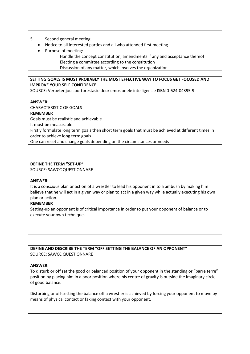## 5. Second general meeting

- Notice to all interested parties and all who attended first meeting
- Purpose of meeting:
	- Handle the concept constitution, amendments if any and acceptance thereof Electing a committee according to the constitution Discussion of any matter, which involves the organization

## **SETTING GOALS IS MOST PROBABLY THE MOST EFFECTIVE WAY TO FOCUS GET FOCUSED AND IMPROVE YOUR SELF CONFIDENCE.**

SOURCE: Verbeter jou sportprestasie deur emosionele intelligensie ISBN 0-624-04395-9

## **ANSWER:**

CHARACTERISTIC OF GOALS **REMEMBER** Goals must be realistic and achievable It must be measurable Firstly formulate long term goals then short term goals that must be achieved at different times in order to achieve long term goals One can reset and change goals depending on the circumstances or needs

# **DEFINE THE TERM "SET-UP"**

SOURCE: SAWCC QUESTIONNARE

# **ANSWER:**

It is a conscious plan or action of a wrestler to lead his opponent in to a ambush by making him believe that he will act in a given way or plan to act in a given way while actually executing his own plan or action.

# **REMEMBER**

Setting-up an opponent is of critical importance in order to put your opponent of balance or to execute your own technique.

**DEFINE AND DESCRIBE THE TERM "OFF SETTING THE BALANCE OF AN OPPONENT"**  SOURCE: SAWCC QUESTIONNARE

#### **ANSWER:**

To disturb or off set the good or balanced position of your opponent in the standing or "parre terre" position by placing him in a poor position where his centre of gravity is outside the imaginary circle of good balance.

Disturbing or off-setting the balance off a wrestler is achieved by forcing your opponent to move by means of physical contact or faking contact with your opponent.